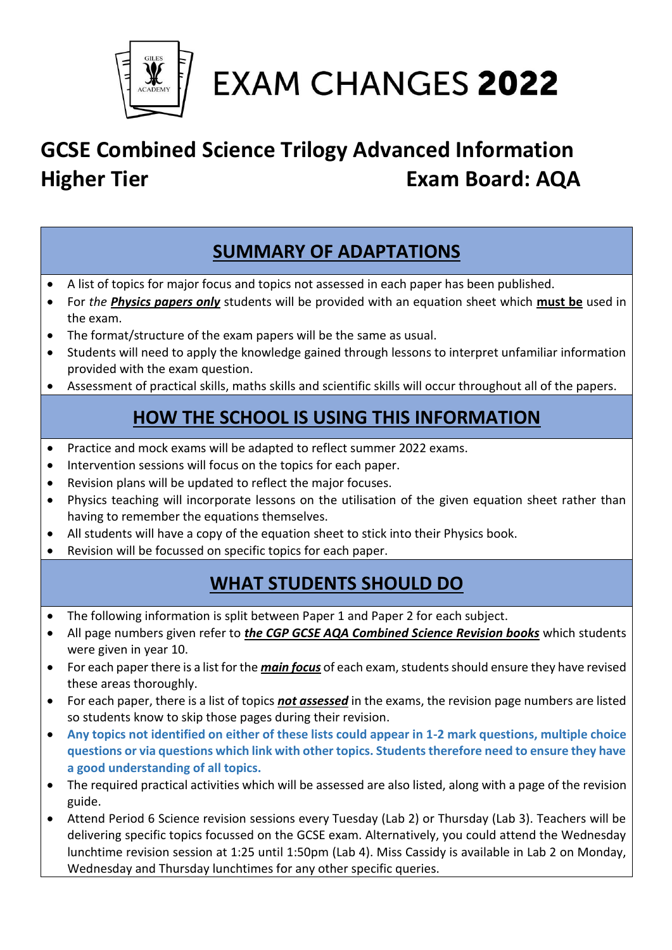

**EXAM CHANGES 2022** 

### **GCSE Combined Science Trilogy Advanced Information Higher Tier Community Community Exam Board: AQA**

### **SUMMARY OF ADAPTATIONS**

- A list of topics for major focus and topics not assessed in each paper has been published.
- For *the Physics papers only* students will be provided with an equation sheet which **must be** used in the exam.
- The format/structure of the exam papers will be the same as usual.
- Students will need to apply the knowledge gained through lessons to interpret unfamiliar information provided with the exam question.
- Assessment of practical skills, maths skills and scientific skills will occur throughout all of the papers.

### **HOW THE SCHOOL IS USING THIS INFORMATION**

- Practice and mock exams will be adapted to reflect summer 2022 exams.
- Intervention sessions will focus on the topics for each paper.
- Revision plans will be updated to reflect the major focuses.
- Physics teaching will incorporate lessons on the utilisation of the given equation sheet rather than having to remember the equations themselves.
- All students will have a copy of the equation sheet to stick into their Physics book.
- Revision will be focussed on specific topics for each paper.

### **WHAT STUDENTS SHOULD DO**

- The following information is split between Paper 1 and Paper 2 for each subject.
- All page numbers given refer to *the CGP GCSE AQA Combined Science Revision books* which students were given in year 10.
- For each paper there is a list for the *main focus* of each exam, students should ensure they have revised these areas thoroughly.
- For each paper, there is a list of topics *not assessed* in the exams, the revision page numbers are listed so students know to skip those pages during their revision.
- **Any topics not identified on either of these lists could appear in 1-2 mark questions, multiple choice questions or via questions which link with other topics. Students therefore need to ensure they have a good understanding of all topics.**
- The required practical activities which will be assessed are also listed, along with a page of the revision guide.
- Attend Period 6 Science revision sessions every Tuesday (Lab 2) or Thursday (Lab 3). Teachers will be delivering specific topics focussed on the GCSE exam. Alternatively, you could attend the Wednesday lunchtime revision session at 1:25 until 1:50pm (Lab 4). Miss Cassidy is available in Lab 2 on Monday, Wednesday and Thursday lunchtimes for any other specific queries.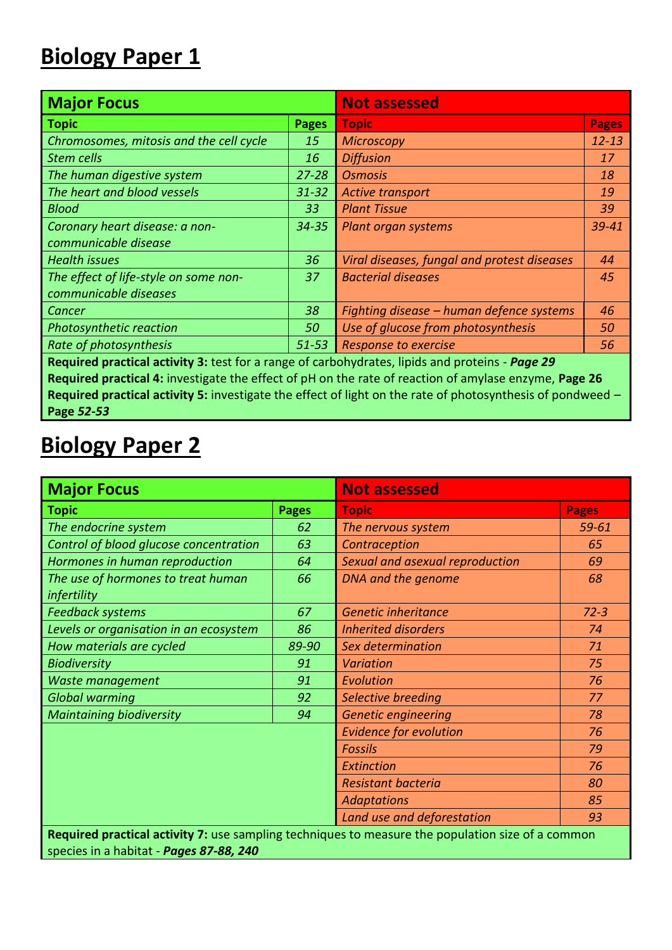### **Biology Paper 1**

| <b>Major Focus</b>                                                                                         | <b>Not assessed</b> |                                             |              |  |  |  |  |
|------------------------------------------------------------------------------------------------------------|---------------------|---------------------------------------------|--------------|--|--|--|--|
| <b>Topic</b>                                                                                               | <b>Pages</b>        | <b>Topic</b>                                | <b>Pages</b> |  |  |  |  |
| Chromosomes, mitosis and the cell cycle                                                                    | 15                  | <b>Microscopy</b>                           | $12 - 13$    |  |  |  |  |
| <b>Stem cells</b>                                                                                          | 16                  | <b>Diffusion</b>                            | 17           |  |  |  |  |
| The human digestive system                                                                                 | $27 - 28$           | <b>Osmosis</b>                              | 18           |  |  |  |  |
| The heart and blood vessels                                                                                | $31 - 32$           | Active transport                            | 19           |  |  |  |  |
| <b>Blood</b>                                                                                               | 33                  | <b>Plant Tissue</b>                         | 39           |  |  |  |  |
| Coronary heart disease: a non-                                                                             | $34 - 35$           | Plant organ systems                         | 39-41        |  |  |  |  |
| communicable disease                                                                                       |                     |                                             |              |  |  |  |  |
| <b>Health issues</b>                                                                                       | 36                  | Viral diseases, fungal and protest diseases | 44           |  |  |  |  |
| The effect of life-style on some non-                                                                      | 37                  | <b>Bacterial diseases</b>                   | 45           |  |  |  |  |
| communicable diseases                                                                                      |                     |                                             |              |  |  |  |  |
| Cancer                                                                                                     | 38                  | Fighting disease - human defence systems    | 46           |  |  |  |  |
| <b>Photosynthetic reaction</b>                                                                             | 50                  | Use of glucose from photosynthesis          | 50           |  |  |  |  |
| Rate of photosynthesis                                                                                     | $51 - 53$           | Response to exercise                        | 56           |  |  |  |  |
| Required practical activity 3: test for a range of carbohydrates, lipids and proteins - Page 29            |                     |                                             |              |  |  |  |  |
| Required practical 4: investigate the effect of pH on the rate of reaction of amylase enzyme, Page 26      |                     |                                             |              |  |  |  |  |
| Required practical activity 5: investigate the effect of light on the rate of photosynthesis of pondweed - |                     |                                             |              |  |  |  |  |

### **Biology Paper 2**

**Page** *52-53*

| <b>Major Focus</b>                                                                                                                           |              | <b>Not assessed</b>             |              |  |  |  |
|----------------------------------------------------------------------------------------------------------------------------------------------|--------------|---------------------------------|--------------|--|--|--|
| <b>Topic</b>                                                                                                                                 | <b>Pages</b> | <b>Topic</b>                    | <b>Pages</b> |  |  |  |
| The endocrine system                                                                                                                         | 62           | The nervous system              | 59-61        |  |  |  |
| Control of blood glucose concentration                                                                                                       | 63           | Contraception                   | 65           |  |  |  |
| Hormones in human reproduction                                                                                                               | 64           | Sexual and asexual reproduction | 69           |  |  |  |
| The use of hormones to treat human<br>infertility                                                                                            | 66           | DNA and the genome              | 68           |  |  |  |
| <b>Feedback systems</b>                                                                                                                      | 67           | <b>Genetic inheritance</b>      | $72 - 3$     |  |  |  |
| Levels or organisation in an ecosystem                                                                                                       | 86           | <b>Inherited disorders</b>      | 74           |  |  |  |
| How materials are cycled                                                                                                                     | 89-90        | Sex determination               | 71           |  |  |  |
| <b>Biodiversity</b>                                                                                                                          | 91           | <b>Variation</b>                | 75           |  |  |  |
| Waste management                                                                                                                             | 91           | Evolution                       | 76           |  |  |  |
| <b>Global warming</b>                                                                                                                        | 92           | Selective breeding              | 77           |  |  |  |
| <b>Maintaining biodiversity</b>                                                                                                              | 94           | <b>Genetic engineering</b>      | 78           |  |  |  |
|                                                                                                                                              |              | <b>Evidence for evolution</b>   | 76           |  |  |  |
|                                                                                                                                              |              | <b>Fossils</b>                  | 79           |  |  |  |
|                                                                                                                                              |              | Extinction                      | 76           |  |  |  |
|                                                                                                                                              |              | Resistant bacteria<br>80        |              |  |  |  |
|                                                                                                                                              |              | <b>Adaptations</b>              | 85           |  |  |  |
|                                                                                                                                              |              | Land use and deforestation      | 93           |  |  |  |
| Required practical activity 7: use sampling techniques to measure the population size of a common<br>species in a habitat - Pages 87-88, 240 |              |                                 |              |  |  |  |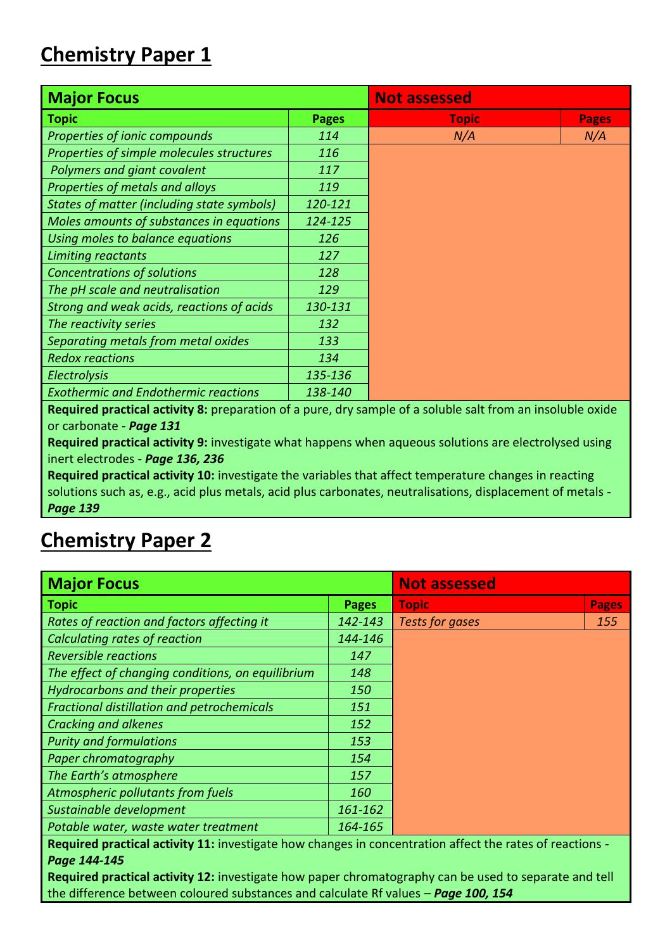### **Chemistry Paper 1**

| <b>Major Focus</b>                                | <b>Not assessed</b> |              |              |  |
|---------------------------------------------------|---------------------|--------------|--------------|--|
| <b>Topic</b>                                      | <b>Pages</b>        | <b>Topic</b> | <b>Pages</b> |  |
| Properties of ionic compounds                     | 114                 | N/A          | N/A          |  |
| Properties of simple molecules structures         | 116                 |              |              |  |
| Polymers and giant covalent                       | 117                 |              |              |  |
| Properties of metals and alloys                   | 119                 |              |              |  |
| <b>States of matter (including state symbols)</b> | 120-121             |              |              |  |
| Moles amounts of substances in equations          | 124-125             |              |              |  |
| Using moles to balance equations                  | 126                 |              |              |  |
| Limiting reactants                                | 127                 |              |              |  |
| <b>Concentrations of solutions</b>                | 128                 |              |              |  |
| The pH scale and neutralisation                   | 129                 |              |              |  |
| Strong and weak acids, reactions of acids         | 130-131             |              |              |  |
| The reactivity series                             | 132                 |              |              |  |
| Separating metals from metal oxides               | 133                 |              |              |  |
| <b>Redox reactions</b>                            | 134                 |              |              |  |
| <b>Electrolysis</b>                               | 135-136             |              |              |  |
| <b>Exothermic and Endothermic reactions</b>       | 138-140             |              |              |  |

**Required practical activity 8:** preparation of a pure, dry sample of a soluble salt from an insoluble oxide or carbonate - *Page 131*

**Required practical activity 9:** investigate what happens when aqueous solutions are electrolysed using inert electrodes - *Page 136, 236*

**Required practical activity 10:** investigate the variables that affect temperature changes in reacting solutions such as, e.g., acid plus metals, acid plus carbonates, neutralisations, displacement of metals - *Page 139*

### **Chemistry Paper 2**

| <b>Major Focus</b>                                                                                              | <b>Not assessed</b> |                        |              |  |
|-----------------------------------------------------------------------------------------------------------------|---------------------|------------------------|--------------|--|
| <b>Topic</b>                                                                                                    | <b>Pages</b>        | <b>Topic</b>           | <b>Pages</b> |  |
| Rates of reaction and factors affecting it                                                                      | 142-143             | <b>Tests for gases</b> | 155          |  |
| Calculating rates of reaction                                                                                   | 144-146             |                        |              |  |
| <b>Reversible reactions</b>                                                                                     | 147                 |                        |              |  |
| The effect of changing conditions, on equilibrium                                                               | 148                 |                        |              |  |
| Hydrocarbons and their properties                                                                               | 150                 |                        |              |  |
| <b>Fractional distillation and petrochemicals</b>                                                               | 151                 |                        |              |  |
| <b>Cracking and alkenes</b>                                                                                     | 152                 |                        |              |  |
| <b>Purity and formulations</b>                                                                                  | 153                 |                        |              |  |
| Paper chromatography                                                                                            | 154                 |                        |              |  |
| The Earth's atmosphere                                                                                          | 157                 |                        |              |  |
| Atmospheric pollutants from fuels                                                                               | <i>160</i>          |                        |              |  |
| Sustainable development                                                                                         | 161-162             |                        |              |  |
| Potable water, waste water treatment                                                                            | 164-165             |                        |              |  |
| <b>Desirived secretized estimity 11, investigate how changes in concentration offect the rates of reactions</b> |                     |                        |              |  |

**Required practical activity 11:** investigate how changes in concentration affect the rates of reactions - *Page 144-145*

**Required practical activity 12:** investigate how paper chromatography can be used to separate and tell the difference between coloured substances and calculate Rf values – *Page 100, 154*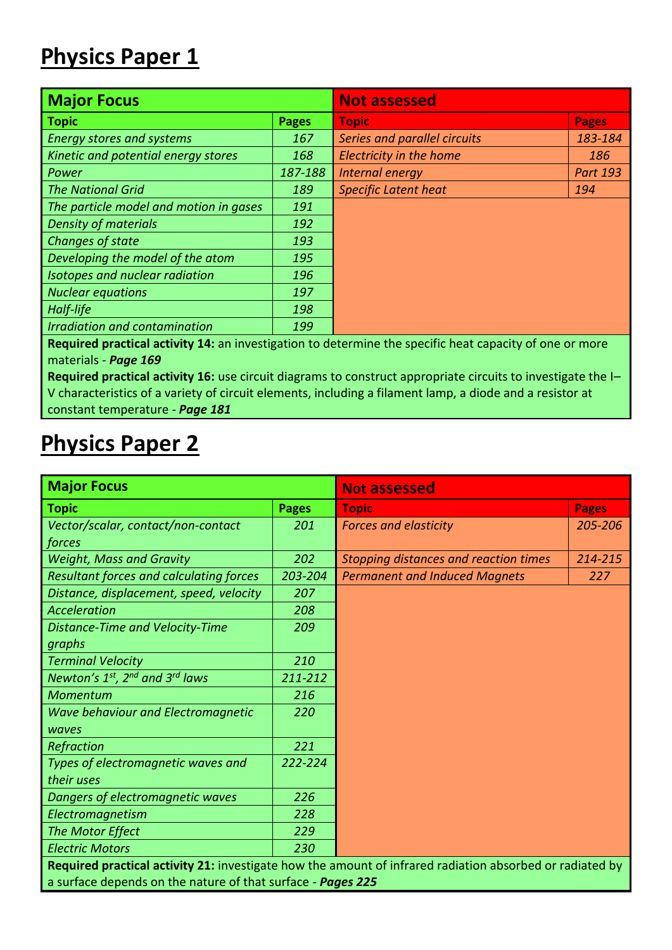### **Physics Paper 1**

| <b>Major Focus</b>                                                                                                |              | <b>Not assessed</b>          |                 |  |  |
|-------------------------------------------------------------------------------------------------------------------|--------------|------------------------------|-----------------|--|--|
| <b>Topic</b>                                                                                                      | <b>Pages</b> | <b>Topic</b>                 | <b>Pages</b>    |  |  |
| <b>Energy stores and systems</b>                                                                                  | 167          | Series and parallel circuits | 183-184         |  |  |
| Kinetic and potential energy stores                                                                               | 168          | Electricity in the home      | 186             |  |  |
| Power                                                                                                             | 187-188      | Internal energy              | <b>Part 193</b> |  |  |
| <b>The National Grid</b>                                                                                          | 189          | <b>Specific Latent heat</b>  | 194             |  |  |
| The particle model and motion in gases                                                                            | 191          |                              |                 |  |  |
| <b>Density of materials</b>                                                                                       | 192          |                              |                 |  |  |
| Changes of state                                                                                                  | 193          |                              |                 |  |  |
| Developing the model of the atom                                                                                  | 195          |                              |                 |  |  |
| Isotopes and nuclear radiation                                                                                    | 196          |                              |                 |  |  |
| <b>Nuclear equations</b>                                                                                          | 197          |                              |                 |  |  |
| Half-life                                                                                                         | 198          |                              |                 |  |  |
| <b>Irradiation and contamination</b>                                                                              | 199          |                              |                 |  |  |
| <b>Desirived secretical estimity 1.1, on investigation to determine the coopitio beat conogity of one or more</b> |              |                              |                 |  |  |

**Required practical activity 14:** an investigation to determine the specific heat capacity of one or more materials - *Page 169*

**Required practical activity 16:** use circuit diagrams to construct appropriate circuits to investigate the I– V characteristics of a variety of circuit elements, including a filament lamp, a diode and a resistor at constant temperature - *Page 181*

### **Physics Paper 2**

| <b>Major Focus</b>                                                                                       |              | <b>Not assessed</b>                          |              |  |  |  |  |
|----------------------------------------------------------------------------------------------------------|--------------|----------------------------------------------|--------------|--|--|--|--|
| Topic                                                                                                    | <b>Pages</b> | <b>Topic</b>                                 | <b>Pages</b> |  |  |  |  |
| Vector/scalar, contact/non-contact                                                                       | 201          | <b>Forces and elasticity</b>                 | 205-206      |  |  |  |  |
| forces                                                                                                   |              |                                              |              |  |  |  |  |
| <b>Weight, Mass and Gravity</b>                                                                          | 202          | <b>Stopping distances and reaction times</b> | 214-215      |  |  |  |  |
| <b>Resultant forces and calculating forces</b>                                                           | 203-204      | <b>Permanent and Induced Magnets</b>         | 227          |  |  |  |  |
| Distance, displacement, speed, velocity                                                                  | 207          |                                              |              |  |  |  |  |
| Acceleration                                                                                             | 208          |                                              |              |  |  |  |  |
| Distance-Time and Velocity-Time                                                                          | 209          |                                              |              |  |  |  |  |
| graphs                                                                                                   |              |                                              |              |  |  |  |  |
| <b>Terminal Velocity</b>                                                                                 | 210          |                                              |              |  |  |  |  |
| Newton's $1^{st}$ , $2^{nd}$ and $3^{rd}$ laws                                                           | 211-212      |                                              |              |  |  |  |  |
| Momentum                                                                                                 | 216          |                                              |              |  |  |  |  |
| Wave behaviour and Electromagnetic                                                                       | 220          |                                              |              |  |  |  |  |
| waves                                                                                                    |              |                                              |              |  |  |  |  |
| Refraction                                                                                               | 221          |                                              |              |  |  |  |  |
| Types of electromagnetic waves and                                                                       | 222-224      |                                              |              |  |  |  |  |
| their uses                                                                                               |              |                                              |              |  |  |  |  |
| Dangers of electromagnetic waves                                                                         | 226          |                                              |              |  |  |  |  |
| Electromagnetism                                                                                         | 228          |                                              |              |  |  |  |  |
| The Motor Effect                                                                                         | 229          |                                              |              |  |  |  |  |
| <b>Electric Motors</b>                                                                                   | 230          |                                              |              |  |  |  |  |
| Required practical activity 21: investigate how the amount of infrared radiation absorbed or radiated by |              |                                              |              |  |  |  |  |
| a surface depends on the nature of that surface - Pages 225                                              |              |                                              |              |  |  |  |  |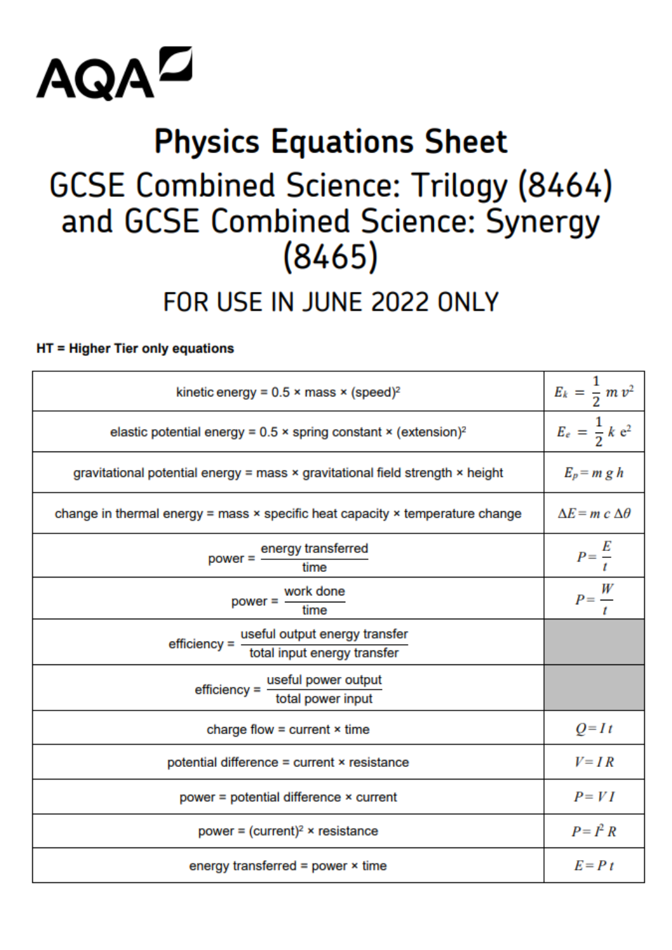

## **Physics Equations Sheet GCSE Combined Science: Trilogy (8464)** and GCSE Combined Science: Synergy  $(8465)$

### FOR USE IN JUNE 2022 ONLY

### HT = Higher Tier only equations

| kinetic energy = $0.5 \times \text{mass} \times (\text{speed})^2$                           | $E_k = \frac{1}{2} m v^2$      |
|---------------------------------------------------------------------------------------------|--------------------------------|
| elastic potential energy = $0.5 \times$ spring constant $\times$ (extension) <sup>2</sup>   | $E_e = \frac{1}{2} k e^2$      |
| gravitational potential energy = mass × gravitational field strength × height               | $E_p = m g h$                  |
| change in thermal energy = mass $\times$ specific heat capacity $\times$ temperature change | $\Delta E = m c \Delta \theta$ |
| power = energy transferred<br>time                                                          | $P=\frac{E}{t}$                |
| work done<br>power = $-$<br>time                                                            | $P=\frac{W}{t}$                |
| useful output energy transfer<br>efficiency = $-$<br>total input energy transfer            |                                |
| $effective =$ useful power output<br>total power input                                      |                                |
| charge flow = current $\times$ time                                                         | $Q=It$                         |
| potential difference = current × resistance                                                 | $V = IR$                       |
| power = potential difference × current                                                      | $P = VI$                       |
| power = $(current)^2$ × resistance                                                          | $P = I^2 R$                    |
| energy transferred = power $\times$ time                                                    | $E = P t$                      |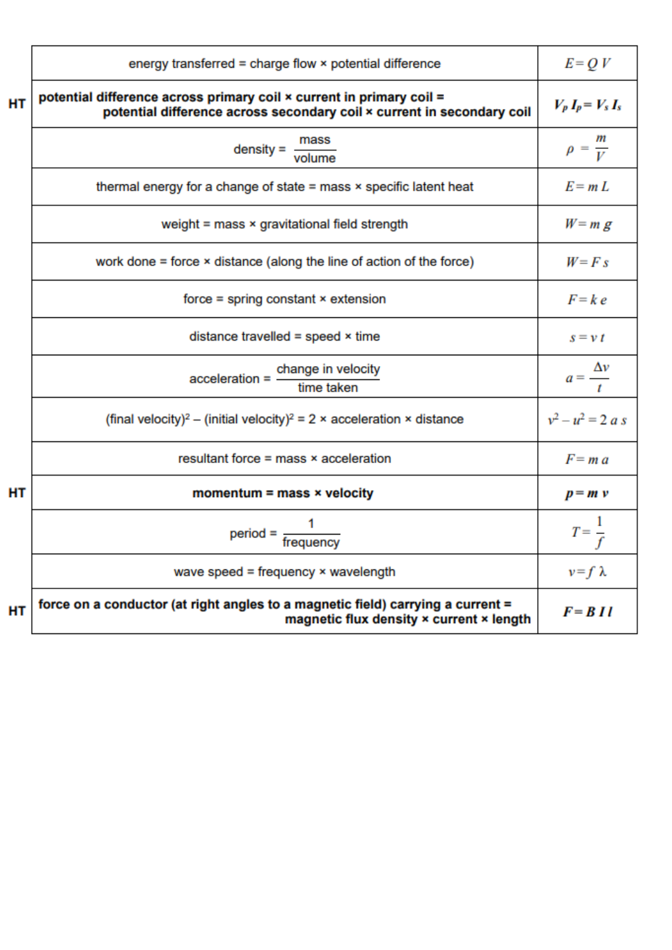|           | energy transferred = charge flow × potential difference                                                                                        | $E = QV$               |
|-----------|------------------------------------------------------------------------------------------------------------------------------------------------|------------------------|
| HT        | potential difference across primary coil x current in primary coil =<br>potential difference across secondary coil x current in secondary coil | $V_p I_p = V_s I_s$    |
|           | $density = \frac{mass}{volume}$                                                                                                                | $\rho = \frac{m}{V}$   |
|           | thermal energy for a change of state $=$ mass $\times$ specific latent heat                                                                    | $E = mL$               |
|           | weight = mass × gravitational field strength                                                                                                   | $W = m g$              |
|           | work done $=$ force $\times$ distance (along the line of action of the force)                                                                  | $W = F s$              |
|           | $force = spring constant × extension$                                                                                                          | $F = k e$              |
|           | distance travelled = speed $\times$ time                                                                                                       | $s = v t$              |
|           | $acceleration = \frac{change in velocity}{time taken}$                                                                                         | $a=\frac{\Delta v}{t}$ |
|           | (final velocity) <sup>2</sup> – (initial velocity) <sup>2</sup> = 2 × acceleration × distance                                                  | $v^2 - u^2 = 2 a s$    |
|           | resultant force $=$ mass $\times$ acceleration                                                                                                 | $F = ma$               |
| <b>HT</b> | momentum = mass $\times$ velocity                                                                                                              | $p = m v$              |
|           | $period = \frac{1}{frequency}$                                                                                                                 | $T=\frac{1}{f}$        |
|           | wave speed = frequency $\times$ wavelength                                                                                                     | $v = f \lambda$        |
| HT        | force on a conductor (at right angles to a magnetic field) carrying a current =<br>magnetic flux density x current x length                    | $F = B II$             |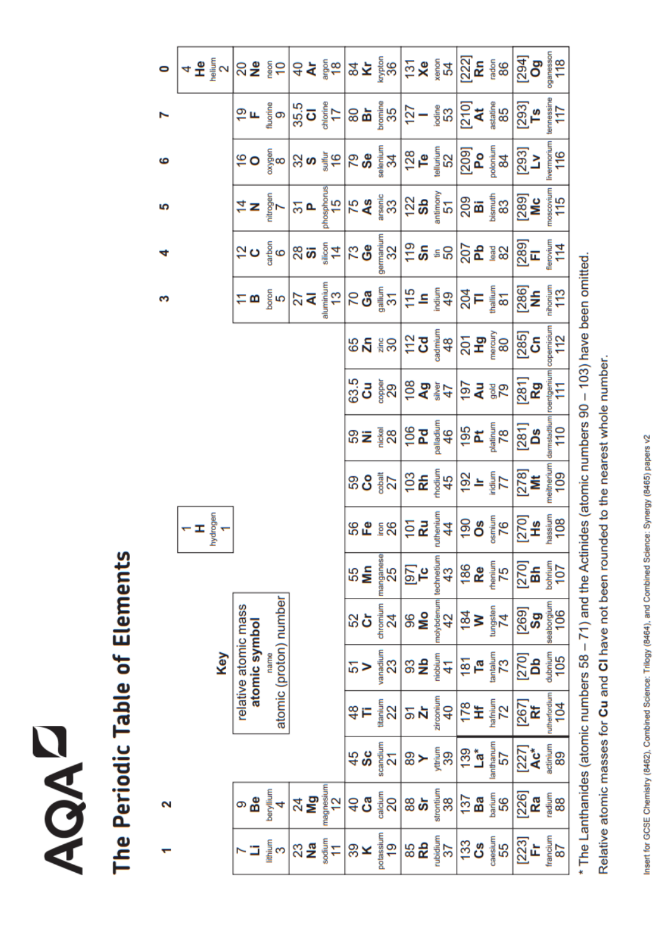## **NOAD**

# The Periodic Table of Elements

 $\mathbf{\tilde{z}}$ 

 $\bullet$ 

ဖ

ທ

d

S

|                                    |                                       |                        |                                  |                            |                |                 |                 |                          |                         |                 | $\texttt{Var} \left[ \frac{1}{2} \texttt{Var} \left[ \frac{1}{2} \texttt{Var} \left[ \frac{1}{2} \texttt{Var} \left[ \frac{1}{2} \texttt{Var} \left[ \frac{1}{2} \texttt{Var} \left[ \frac{1}{2} \texttt{Var} \left[ \frac{1}{2} \texttt{Var} \left[ \frac{1}{2} \texttt{Var} \left[ \frac{1}{2} \texttt{Var} \left[ \frac{1}{2} \texttt{Var} \left[ \frac{1}{2} \right] \right] \right] \right] \right] \right] \right]$                                                               |                      |
|------------------------------------|---------------------------------------|------------------------|----------------------------------|----------------------------|----------------|-----------------|-----------------|--------------------------|-------------------------|-----------------|-----------------------------------------------------------------------------------------------------------------------------------------------------------------------------------------------------------------------------------------------------------------------------------------------------------------------------------------------------------------------------------------------------------------------------------------------------------------------------------------|----------------------|
|                                    |                                       |                        |                                  |                            |                |                 |                 |                          |                         |                 | $\left(50\frac{2}{3}\text{m}\right)$ $\left(50\frac{2}{3}\text{m}\right)$ $\left(50\frac{2}{3}\text{m}\right)$ $\left(50\frac{2}{3}\text{m}\right)$ $\left(50\frac{2}{3}\text{m}\right)$ $\left(50\frac{2}{3}\text{m}\right)$ $\left(50\frac{2}{3}\text{m}\right)$ $\left(50\frac{2}{3}\text{m}\right)$ $\left(50\frac{2}{3}\text{m}\right)$ $\left(50\frac{2}{3}\text{m}\right)$ $\left(50\frac{2}{$                                                                                   |                      |
|                                    |                                       |                        |                                  |                            |                |                 |                 |                          |                         |                 | $\frac{1}{2} \times \frac{1}{2} \times \frac{1}{2} \times \frac{1}{2} \times \frac{1}{2} \times \frac{1}{2} \times \frac{1}{2} \times \frac{1}{2} \times \frac{1}{2} \times \frac{1}{2} \times \frac{1}{2} \times \frac{1}{2} \times \frac{1}{2} \times \frac{1}{2} \times \frac{1}{2} \times \frac{1}{2} \times \frac{1}{2} \times \frac{1}{2} \times \frac{1}{2} \times \frac{1}{2} \times \frac{1}{2} \times \frac{1}{2} \times \frac{1}{2} \times \frac{1}{2} \times \frac{1$       |                      |
|                                    |                                       |                        |                                  |                            |                |                 |                 |                          |                         |                 | $\texttt{G} \bullet \tfrac{2}{9} \texttt{e} \left  \texttt{G} \cdot \mathbf{Q} \right  \texttt{G} \bullet \left  \texttt{G} \cdot \mathbf{Q} \right  \texttt{G} \bullet \mathbf{Q} \left  \texttt{G} \cdot \mathbf{Q} \right  \texttt{G} \bullet \mathbf{Q} \left  \texttt{G} \cdot \mathbf{Q} \right  \texttt{G} \bullet \mathbf{Q} \left  \texttt{G} \cdot \mathbf{Q} \right  \texttt{G} \bullet \mathbf{Q} \left  \texttt{G} \cdot \mathbf{Q} \right  \texttt{G} \bullet \mathbf{Q}$ |                      |
|                                    |                                       |                        |                                  |                            |                |                 |                 |                          |                         |                 | $\sum_{i=1}^{n} \frac{1}{n} \sum_{i=1}^{n} \frac{1}{n} \sum_{i=1}^{n} \frac{1}{n} \sum_{i=1}^{n} \frac{1}{n} \sum_{i=1}^{n} \frac{1}{n} \sum_{i=1}^{n} \frac{1}{n} \sum_{i=1}^{n} \frac{1}{n} \sum_{i=1}^{n} \frac{1}{n} \sum_{i=1}^{n} \frac{1}{n} \sum_{i=1}^{n} \frac{1}{n} \sum_{i=1}^{n} \frac{1}{n} \sum_{i=1}^{n} \frac{1}{n} \sum_{i=1}^{n} \frac{1}{n$                                                                                                                         |                      |
|                                    |                                       |                        |                                  |                            |                |                 |                 |                          |                         |                 | $\begin{picture}(180,10) \put(0,0){\line(1,0){15}} \put(10,0){\line(1,0){15}} \put(10,0){\line(1,0){15}} \put(10,0){\line(1,0){15}} \put(10,0){\line(1,0){15}} \put(10,0){\line(1,0){15}} \put(10,0){\line(1,0){15}} \put(10,0){\line(1,0){15}} \put(10,0){\line(1,0){15}} \put(10,0){\line(1,0){15}} \put(10,0){\line(1,0){15}} \put(10,0){\line($                                                                                                                                     |                      |
|                                    |                                       |                        |                                  |                            |                |                 |                 |                          |                         |                 | $\begin{bmatrix} 1 & 0 & 0 & 0 \\ 0 & 0 & 0 & 0 \\ 0 & 0 & 0 & 0 \\ 0 & 0 & 0 & 0 \\ 0 & 0 & 0 & 0 \\ 0 & 0 & 0 & 0 \\ 0 & 0 & 0 & 0 \\ 0 & 0 & 0 & 0 \\ 0 & 0 & 0 & 0 \\ 0 & 0 & 0 & 0 \\ 0 & 0 & 0 & 0 \\ 0 & 0 & 0 & 0 \\ 0 & 0 & 0 & 0 \\ 0 & 0 & 0 & 0 \\ 0 & 0 & 0 & 0 \\ 0 & 0 & 0 & 0 \\ 0 & 0 & 0 & 0 \\ 0 & 0 & 0 & $                                                                                                                                                         |                      |
|                                    |                                       |                        |                                  |                            |                |                 |                 |                          |                         |                 | $35 = \frac{1}{2} \times 10^{10} \text{ m}^2$                                                                                                                                                                                                                                                                                                                                                                                                                                           |                      |
|                                    |                                       |                        |                                  |                            |                |                 |                 |                          |                         |                 | $38.8$ $\frac{2}{3}$ $\frac{1}{2}$ $\frac{1}{2}$ $\frac{1}{2}$ $\frac{1}{2}$ $\frac{1}{2}$ $\frac{1}{2}$ $\frac{1}{2}$ $\frac{1}{2}$ $\frac{1}{2}$ $\frac{1}{2}$ $\frac{1}{2}$ $\frac{1}{2}$ $\frac{1}{2}$ $\frac{1}{2}$ $\frac{1}{2}$ $\frac{1}{2}$ $\frac{1}{2}$ $\frac{1}{2}$ $\frac{1}{2}$ $\frac{1}{2}$ $\frac{$                                                                                                                                                                   |                      |
| $\frac{1}{\pi}$<br>$\frac{1}{\pi}$ |                                       |                        |                                  |                            |                |                 |                 |                          |                         |                 | $rac{1}{2}$ $rac{1}{2}$ $rac{1}{2}$ $rac{1}{2}$ $rac{1}{2}$ $rac{1}{2}$ $rac{1}{2}$ $rac{1}{2}$ $rac{1}{2}$ $rac{1}{2}$ $rac{1}{2}$ $rac{1}{2}$ $rac{1}{2}$ $rac{1}{2}$ $rac{1}{2}$ $rac{1}{2}$ $rac{1}{2}$ $rac{1}{2}$ $rac{1}{2}$ $rac{1}{2}$ $rac{1}{2}$ $rac{1}{2}$ $rac{1}{2}$ $rac{1}{2}$ $rac{1}{$                                                                                                                                                                               |                      |
|                                    |                                       |                        |                                  |                            | 55<br><b>M</b> | manganese<br>25 | $\frac{5}{2}$   | technetium<br>43         | $\frac{86}{R}$          | $\frac{1}{25}$  | $[270]$<br>Bh<br>$\frac{1}{207}$                                                                                                                                                                                                                                                                                                                                                                                                                                                        |                      |
|                                    |                                       | atomic (proton) number |                                  |                            | នង             | chromium<br>24  | $\frac{8}{2}$   | molybdenum<br>42         | $\frac{1}{8}$<br>$\geq$ | tungsten<br>74  | $\begin{bmatrix} 269\  \mathbf{Sg} \ \mathbf{sg} \ \mathbf{ss} \end{bmatrix}$                                                                                                                                                                                                                                                                                                                                                                                                           |                      |
| Key                                | relative atomic mass<br>atomic symbol | name                   |                                  |                            | 5              | vanadium<br>23  | SS<br>SS        | niobium<br>$\mathcal{A}$ | $\frac{5}{6}$           | $\frac{52}{13}$ | $[270]$<br>Db<br>$40$<br>$105$                                                                                                                                                                                                                                                                                                                                                                                                                                                          |                      |
|                                    |                                       |                        |                                  |                            | $\frac{8}{3}$  | titanium<br>22  | 5<br>ম          | zirconium<br>$40$        | $\frac{4}{25}$          | hafnium<br>72   | $[267]$ <b>Rf</b>                                                                                                                                                                                                                                                                                                                                                                                                                                                                       | rutherfordium<br>104 |
|                                    |                                       |                        |                                  |                            | $\frac{45}{9}$ | scandium<br>21  | 80 ≻ 튛          | 39                       | ត្ត<br>ខេ               | lanthanum<br>57 | 277<br><b>Ac*</b><br>##                                                                                                                                                                                                                                                                                                                                                                                                                                                                 |                      |
|                                    | Be                                    | nuillylec              | $^{24}_{\color{red} \mathbf{N}}$ | magnesium<br>$\frac{2}{3}$ | ទ <b>ី</b>     | calcium<br>20   | $\frac{8}{3}$ ნ | strontium<br>38          | $137$<br>Ba             | barium<br>56    | $\frac{[226]}{Ra}$                                                                                                                                                                                                                                                                                                                                                                                                                                                                      | radium<br>88         |
|                                    |                                       | lithium<br>S           | $\frac{23}{2}$                   | sodium<br>11               | $\frac{8}{3}$  | otassium<br>19  | 85              | rubidium<br>37           | <u>ဒို</u>              | caesium<br>55   | $[223]$ Fr                                                                                                                                                                                                                                                                                                                                                                                                                                                                              | francium<br>87       |

\* The Lanthanides (atomic numbers 58 - 71) and the Actinides (atomic numbers 90 - 103) have been omitted. Relative atomic masses for Cu and CI have not been rounded to the nearest whole number.